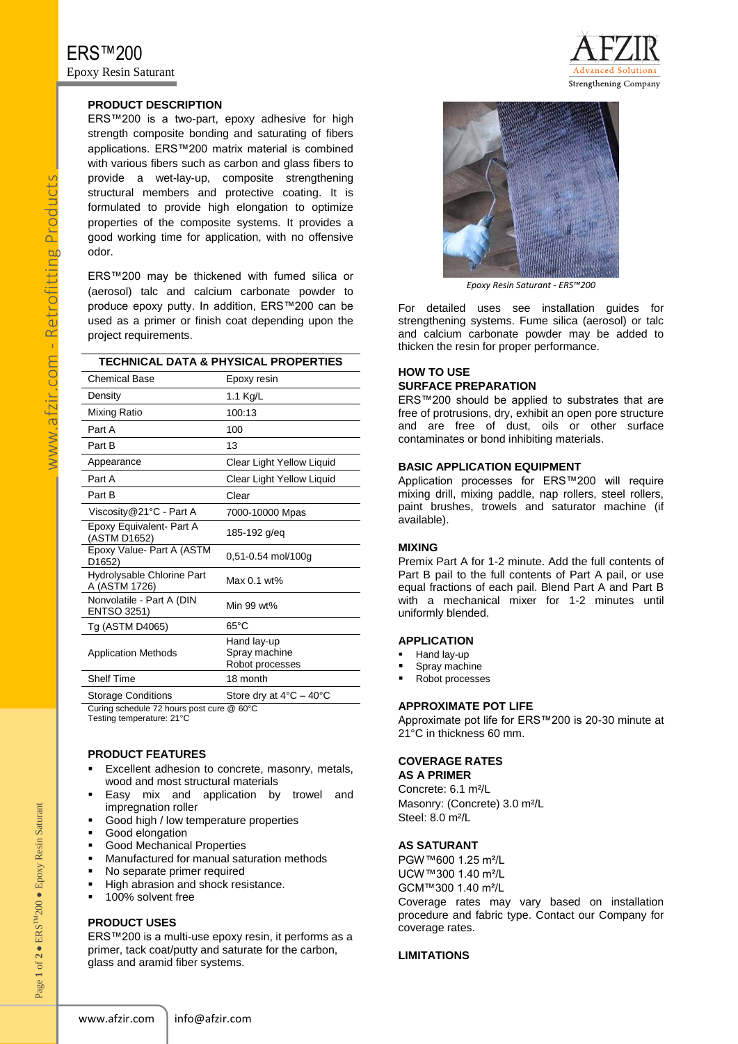# **PRODUCT DESCRIPTION**

ERS™200 is a two-part, epoxy adhesive for high strength composite bonding and saturating of fibers applications. ERS™200 matrix material is combined with various fibers such as carbon and glass fibers to provide a wet-lay-up, composite strengthening structural members and protective coating. It is formulated to provide high elongation to optimize properties of the composite systems. It provides a good working time for application, with no offensive odor.

ERS™200 may be thickened with fumed silica or (aerosol) talc and calcium carbonate powder to produce epoxy putty. In addition, ERS™200 can be used as a primer or finish coat depending upon the project requirements.

|  |  |  | TECHNICAL DATA & PHYSICAL PROPERTIES |
|--|--|--|--------------------------------------|
|--|--|--|--------------------------------------|

| Chemical Base                                    | Epoxy resin                                     |  |
|--------------------------------------------------|-------------------------------------------------|--|
| Density                                          | 1.1 Kg/L                                        |  |
| Mixing Ratio                                     | 100:13                                          |  |
| Part A                                           | 100                                             |  |
| Part B                                           | 13                                              |  |
| Appearance                                       | Clear Light Yellow Liquid                       |  |
| Part A                                           | Clear Light Yellow Liquid                       |  |
| Part B                                           | Clear                                           |  |
| Viscosity@21°C - Part A                          | 7000-10000 Mpas                                 |  |
| Epoxy Equivalent- Part A<br>(ASTM D1652)         | 185-192 g/eq                                    |  |
| Epoxy Value- Part A (ASTM<br>D <sub>1652</sub> ) | 0,51-0.54 mol/100g                              |  |
| Hydrolysable Chlorine Part<br>A (ASTM 1726)      | Max 0.1 wt%                                     |  |
| Nonvolatile - Part A (DIN<br>ENTSO 3251)         | Min 99 wt%                                      |  |
| Tg (ASTM D4065)                                  | $65^{\circ}$ C                                  |  |
| <b>Application Methods</b>                       | Hand lay-up<br>Spray machine<br>Robot processes |  |
| <b>Shelf Time</b>                                | 18 month                                        |  |
| <b>Storage Conditions</b>                        | Store dry at $4^{\circ}$ C - $40^{\circ}$ C     |  |

Curing schedule 72 hours post cure @ 60°C Testing temperature: 21°C

# **PRODUCT FEATURES**

- Excellent adhesion to concrete, masonry, metals, wood and most structural materials
- Easy mix and application by trowel and impregnation roller
- Good high / low temperature properties
- Good elongation
- Good Mechanical Properties
- Manufactured for manual saturation methods
- No separate primer required
- High abrasion and shock resistance.
- **100% solvent free**

# **PRODUCT USES**

Page 1 of 2  $\bullet$  ERS<sup>TM</sup>

200 ● Epoxy Resin Saturant

Page 1 of 2  $\bullet$  ERS<sup>TM</sup>200  $\bullet$  Epoxy Resin Saturant

ERS™200 is a multi-use epoxy resin, it performs as a primer, tack coat/putty and saturate for the carbon, glass and aramid fiber systems.





*Epoxy Resin Saturant - ERS™200*

For detailed uses see installation guides for strengthening systems. Fume silica (aerosol) or talc and calcium carbonate powder may be added to thicken the resin for proper performance.

#### **HOW TO USE SURFACE PREPARATION**

ERS™200 should be applied to substrates that are free of protrusions, dry, exhibit an open pore structure and are free of dust, oils or other surface contaminates or bond inhibiting materials.

# **BASIC APPLICATION EQUIPMENT**

Application processes for ERS™200 will require mixing drill, mixing paddle, nap rollers, steel rollers, paint brushes, trowels and saturator machine (if available).

# **MIXING**

Premix Part A for 1-2 minute. Add the full contents of Part B pail to the full contents of Part A pail, or use equal fractions of each pail. Blend Part A and Part B with a mechanical mixer for 1-2 minutes until uniformly blended.

#### **APPLICATION**

- Hand lay-up
- Spray machine
- Robot processes

#### **APPROXIMATE POT LIFE**

Approximate pot life for ERS™200 is 20-30 minute at 21°C in thickness 60 mm.

# **COVERAGE RATES**

**AS A PRIMER** Concrete: 6.1 m²/L Masonry: (Concrete) 3.0 m²/L Steel: 8.0 m²/L

## **AS SATURANT**

PGW™600 1.25 m²/L UCW™300 1.40 m²/L GCM™300 1.40 m²/L Coverage rates may vary based on installation procedure and fabric type. Contact our Company for coverage rates.

## **LIMITATIONS**